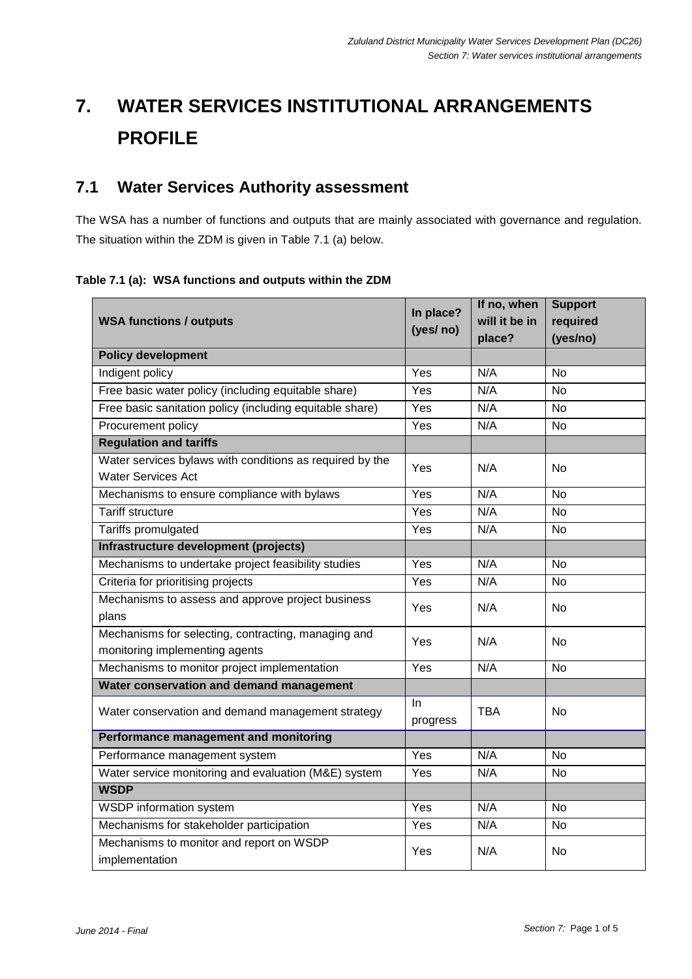# **7. WATER SERVICES INSTITUTIONAL ARRANGEMENTS PROFILE**

## **7.1 Water Services Authority assessment**

The WSA has a number of functions and outputs that are mainly associated with governance and regulation. The situation within the ZDM is given in Table 7.1 (a) below.

**Table 7.1 (a): WSA functions and outputs within the ZDM**

|                                                          | In place?<br>(yes/ no) | If no, when   | <b>Support</b> |
|----------------------------------------------------------|------------------------|---------------|----------------|
| <b>WSA functions / outputs</b>                           |                        | will it be in | required       |
|                                                          |                        | place?        | (yes/no)       |
| <b>Policy development</b>                                |                        |               |                |
| Indigent policy                                          | Yes                    | N/A           | <b>No</b>      |
| Free basic water policy (including equitable share)      | Yes                    | N/A           | No             |
| Free basic sanitation policy (including equitable share) | Yes                    | N/A           | <b>No</b>      |
| Procurement policy                                       | Yes                    | N/A           | No             |
| <b>Regulation and tariffs</b>                            |                        |               |                |
| Water services bylaws with conditions as required by the | Yes                    | N/A           | No             |
| <b>Water Services Act</b>                                |                        |               |                |
| Mechanisms to ensure compliance with bylaws              | Yes                    | N/A           | <b>No</b>      |
| <b>Tariff structure</b>                                  | Yes                    | N/A           | <b>No</b>      |
| Tariffs promulgated                                      | Yes                    | N/A           | <b>No</b>      |
| Infrastructure development (projects)                    |                        |               |                |
| Mechanisms to undertake project feasibility studies      | Yes                    | N/A           | <b>No</b>      |
| Criteria for prioritising projects                       | Yes                    | N/A           | No             |
| Mechanisms to assess and approve project business        | Yes                    | N/A           | <b>No</b>      |
| plans                                                    |                        |               |                |
| Mechanisms for selecting, contracting, managing and      | Yes                    | N/A           | <b>No</b>      |
| monitoring implementing agents                           |                        |               |                |
| Mechanisms to monitor project implementation             | Yes<br>N/A             |               | <b>No</b>      |
| Water conservation and demand management                 |                        |               |                |
| Water conservation and demand management strategy        | In.                    | <b>TBA</b>    | No             |
|                                                          | progress               |               |                |
| <b>Performance management and monitoring</b>             |                        |               |                |
| Performance management system                            | Yes                    | N/A           | <b>No</b>      |
| Water service monitoring and evaluation (M&E) system     | Yes                    | N/A           | No             |
| <b>WSDP</b>                                              |                        |               |                |
| <b>WSDP</b> information system                           | Yes                    | N/A           | <b>No</b>      |
| Mechanisms for stakeholder participation                 | Yes                    | N/A           | No             |
| Mechanisms to monitor and report on WSDP                 | Yes                    | N/A           | No             |
| implementation                                           |                        |               |                |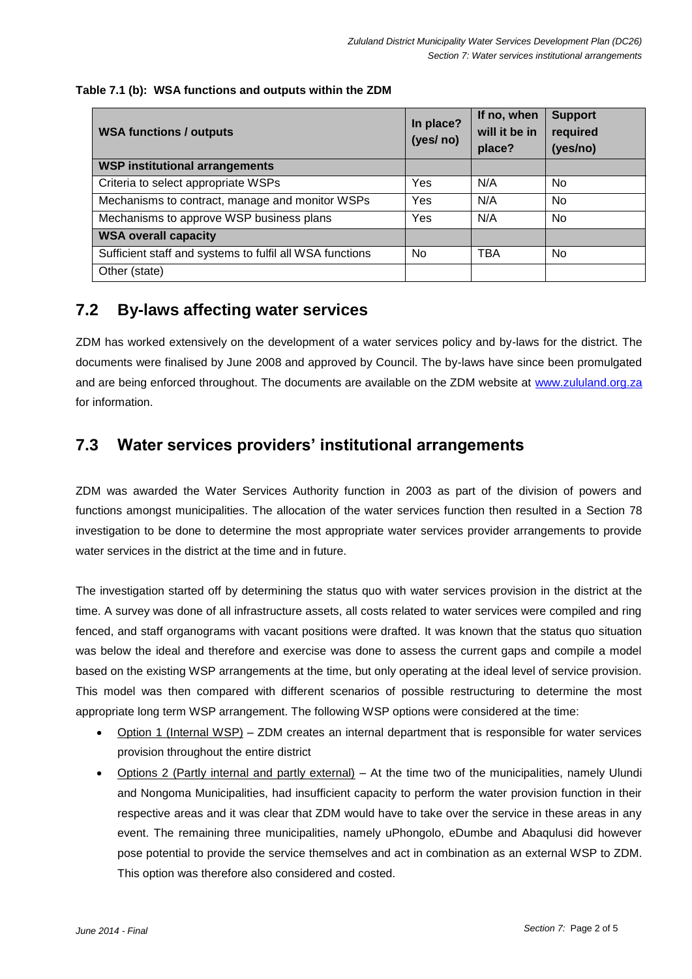#### **Table 7.1 (b): WSA functions and outputs within the ZDM**

| <b>WSA functions / outputs</b>                           | In place?<br>(yes/ no) | If no, when<br>will it be in<br>place? | <b>Support</b><br>required<br>(yes/no) |
|----------------------------------------------------------|------------------------|----------------------------------------|----------------------------------------|
| <b>WSP institutional arrangements</b>                    |                        |                                        |                                        |
| Criteria to select appropriate WSPs                      | Yes                    | N/A                                    | No.                                    |
| Mechanisms to contract, manage and monitor WSPs          | Yes                    | N/A                                    | No.                                    |
| Mechanisms to approve WSP business plans                 | Yes                    | N/A                                    | No.                                    |
| <b>WSA overall capacity</b>                              |                        |                                        |                                        |
| Sufficient staff and systems to fulfil all WSA functions | No                     | <b>TBA</b>                             | No                                     |
| Other (state)                                            |                        |                                        |                                        |

### **7.2 By-laws affecting water services**

ZDM has worked extensively on the development of a water services policy and by-laws for the district. The documents were finalised by June 2008 and approved by Council. The by-laws have since been promulgated and are being enforced throughout. The documents are available on the ZDM website at [www.zululand.org.za](http://www.zululand.org.za/) for information.

## **7.3 Water services providers' institutional arrangements**

ZDM was awarded the Water Services Authority function in 2003 as part of the division of powers and functions amongst municipalities. The allocation of the water services function then resulted in a Section 78 investigation to be done to determine the most appropriate water services provider arrangements to provide water services in the district at the time and in future.

The investigation started off by determining the status quo with water services provision in the district at the time. A survey was done of all infrastructure assets, all costs related to water services were compiled and ring fenced, and staff organograms with vacant positions were drafted. It was known that the status quo situation was below the ideal and therefore and exercise was done to assess the current gaps and compile a model based on the existing WSP arrangements at the time, but only operating at the ideal level of service provision. This model was then compared with different scenarios of possible restructuring to determine the most appropriate long term WSP arrangement. The following WSP options were considered at the time:

- Option 1 (Internal WSP) ZDM creates an internal department that is responsible for water services provision throughout the entire district
- Options 2 (Partly internal and partly external) At the time two of the municipalities, namely Ulundi and Nongoma Municipalities, had insufficient capacity to perform the water provision function in their respective areas and it was clear that ZDM would have to take over the service in these areas in any event. The remaining three municipalities, namely uPhongolo, eDumbe and Abaqulusi did however pose potential to provide the service themselves and act in combination as an external WSP to ZDM. This option was therefore also considered and costed.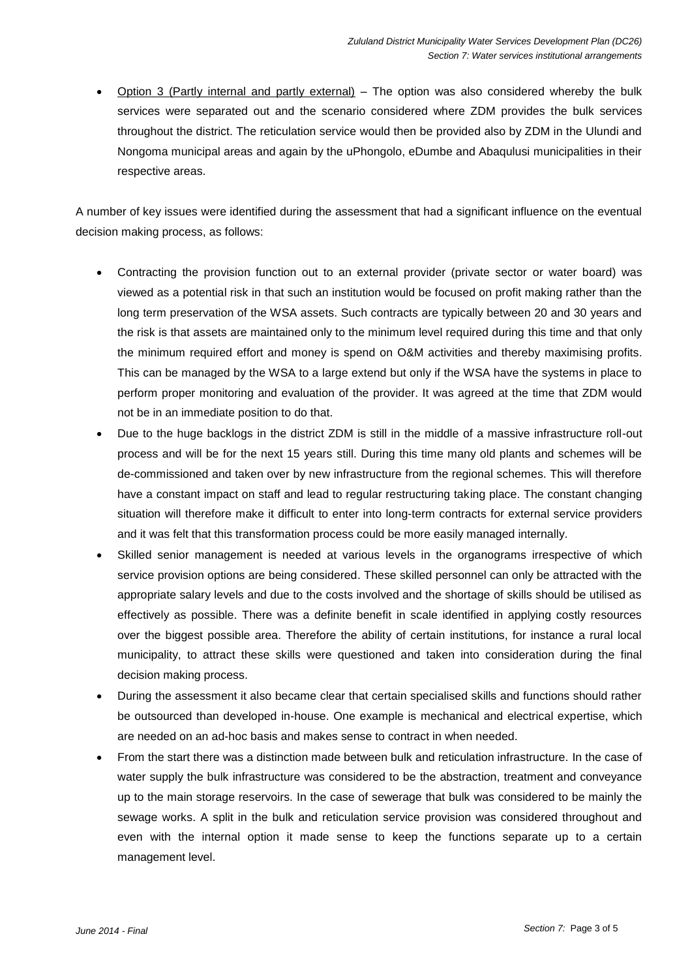Option 3 (Partly internal and partly external) – The option was also considered whereby the bulk services were separated out and the scenario considered where ZDM provides the bulk services throughout the district. The reticulation service would then be provided also by ZDM in the Ulundi and Nongoma municipal areas and again by the uPhongolo, eDumbe and Abaqulusi municipalities in their respective areas.

A number of key issues were identified during the assessment that had a significant influence on the eventual decision making process, as follows:

- Contracting the provision function out to an external provider (private sector or water board) was viewed as a potential risk in that such an institution would be focused on profit making rather than the long term preservation of the WSA assets. Such contracts are typically between 20 and 30 years and the risk is that assets are maintained only to the minimum level required during this time and that only the minimum required effort and money is spend on O&M activities and thereby maximising profits. This can be managed by the WSA to a large extend but only if the WSA have the systems in place to perform proper monitoring and evaluation of the provider. It was agreed at the time that ZDM would not be in an immediate position to do that.
- Due to the huge backlogs in the district ZDM is still in the middle of a massive infrastructure roll-out process and will be for the next 15 years still. During this time many old plants and schemes will be de-commissioned and taken over by new infrastructure from the regional schemes. This will therefore have a constant impact on staff and lead to regular restructuring taking place. The constant changing situation will therefore make it difficult to enter into long-term contracts for external service providers and it was felt that this transformation process could be more easily managed internally.
- Skilled senior management is needed at various levels in the organograms irrespective of which service provision options are being considered. These skilled personnel can only be attracted with the appropriate salary levels and due to the costs involved and the shortage of skills should be utilised as effectively as possible. There was a definite benefit in scale identified in applying costly resources over the biggest possible area. Therefore the ability of certain institutions, for instance a rural local municipality, to attract these skills were questioned and taken into consideration during the final decision making process.
- During the assessment it also became clear that certain specialised skills and functions should rather be outsourced than developed in-house. One example is mechanical and electrical expertise, which are needed on an ad-hoc basis and makes sense to contract in when needed.
- From the start there was a distinction made between bulk and reticulation infrastructure. In the case of water supply the bulk infrastructure was considered to be the abstraction, treatment and conveyance up to the main storage reservoirs. In the case of sewerage that bulk was considered to be mainly the sewage works. A split in the bulk and reticulation service provision was considered throughout and even with the internal option it made sense to keep the functions separate up to a certain management level.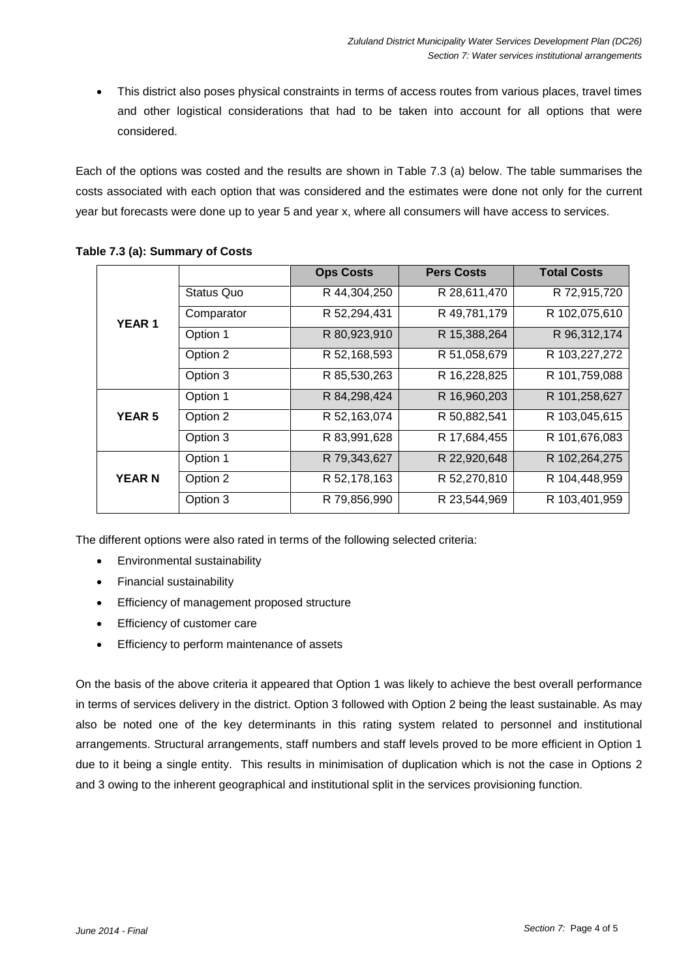This district also poses physical constraints in terms of access routes from various places, travel times and other logistical considerations that had to be taken into account for all options that were considered.

Each of the options was costed and the results are shown in Table 7.3 (a) below. The table summarises the costs associated with each option that was considered and the estimates were done not only for the current year but forecasts were done up to year 5 and year x, where all consumers will have access to services.

|               |            | <b>Ops Costs</b> | <b>Pers Costs</b> | <b>Total Costs</b> |
|---------------|------------|------------------|-------------------|--------------------|
| <b>YEAR1</b>  | Status Quo | R 44,304,250     | R 28,611,470      | R 72,915,720       |
|               | Comparator | R 52,294,431     | R 49,781,179      | R 102,075,610      |
|               | Option 1   | R 80,923,910     | R 15,388,264      | R 96,312,174       |
|               | Option 2   | R 52,168,593     | R 51,058,679      | R 103,227,272      |
|               | Option 3   | R 85,530,263     | R 16,228,825      | R 101,759,088      |
|               | Option 1   | R 84,298,424     | R 16,960,203      | R 101,258,627      |
| <b>YEAR 5</b> | Option 2   | R 52,163,074     | R 50,882,541      | R 103,045,615      |
|               | Option 3   | R 83,991,628     | R 17,684,455      | R 101,676,083      |
|               | Option 1   | R 79,343,627     | R 22,920,648      | R 102,264,275      |
| <b>YEAR N</b> | Option 2   | R 52,178,163     | R 52,270,810      | R 104,448,959      |
|               | Option 3   | R 79,856,990     | R 23,544,969      | R 103,401,959      |

#### **Table 7.3 (a): Summary of Costs**

The different options were also rated in terms of the following selected criteria:

- Environmental sustainability
- Financial sustainability
- **•** Efficiency of management proposed structure
- **Efficiency of customer care**
- **•** Efficiency to perform maintenance of assets

On the basis of the above criteria it appeared that Option 1 was likely to achieve the best overall performance in terms of services delivery in the district. Option 3 followed with Option 2 being the least sustainable. As may also be noted one of the key determinants in this rating system related to personnel and institutional arrangements. Structural arrangements, staff numbers and staff levels proved to be more efficient in Option 1 due to it being a single entity. This results in minimisation of duplication which is not the case in Options 2 and 3 owing to the inherent geographical and institutional split in the services provisioning function.